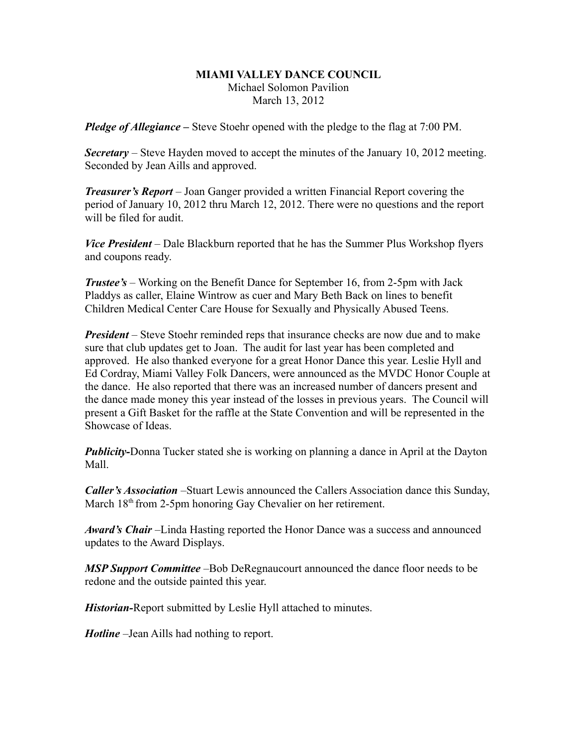## **MIAMI VALLEY DANCE COUNCIL** Michael Solomon Pavilion March 13, 2012

*Pledge of Allegiance –* Steve Stoehr opened with the pledge to the flag at 7:00 PM.

*Secretary –* Steve Hayden moved to accept the minutes of the January 10, 2012 meeting. Seconded by Jean Aills and approved.

*Treasurer's Report* – Joan Ganger provided a written Financial Report covering the period of January 10, 2012 thru March 12, 2012. There were no questions and the report will be filed for audit.

*Vice President* – Dale Blackburn reported that he has the Summer Plus Workshop flyers and coupons ready.

*Trustee's* – Working on the Benefit Dance for September 16, from 2-5pm with Jack Pladdys as caller, Elaine Wintrow as cuer and Mary Beth Back on lines to benefit Children Medical Center Care House for Sexually and Physically Abused Teens.

*President* – Steve Stoehr reminded reps that insurance checks are now due and to make sure that club updates get to Joan. The audit for last year has been completed and approved. He also thanked everyone for a great Honor Dance this year. Leslie Hyll and Ed Cordray, Miami Valley Folk Dancers, were announced as the MVDC Honor Couple at the dance. He also reported that there was an increased number of dancers present and the dance made money this year instead of the losses in previous years. The Council will present a Gift Basket for the raffle at the State Convention and will be represented in the Showcase of Ideas.

*Publicity-*Donna Tucker stated she is working on planning a dance in April at the Dayton Mall.

*Caller's Association* –Stuart Lewis announced the Callers Association dance this Sunday, March 18<sup>th</sup> from 2-5pm honoring Gay Chevalier on her retirement.

*Award's Chair* –Linda Hasting reported the Honor Dance was a success and announced updates to the Award Displays.

*MSP Support Committee* –Bob DeRegnaucourt announced the dance floor needs to be redone and the outside painted this year.

*Historian-*Report submitted by Leslie Hyll attached to minutes.

*Hotline* –Jean Aills had nothing to report.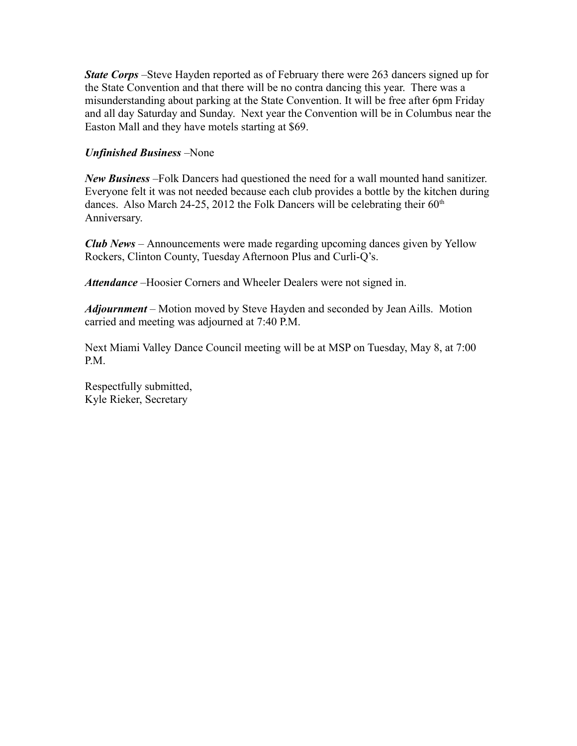*State Corps* – Steve Hayden reported as of February there were 263 dancers signed up for the State Convention and that there will be no contra dancing this year. There was a misunderstanding about parking at the State Convention. It will be free after 6pm Friday and all day Saturday and Sunday. Next year the Convention will be in Columbus near the Easton Mall and they have motels starting at \$69.

## *Unfinished Business* –None

*New Business* –Folk Dancers had questioned the need for a wall mounted hand sanitizer. Everyone felt it was not needed because each club provides a bottle by the kitchen during dances. Also March 24-25, 2012 the Folk Dancers will be celebrating their  $60<sup>th</sup>$ Anniversary.

*Club News –* Announcements were made regarding upcoming dances given by Yellow Rockers, Clinton County, Tuesday Afternoon Plus and Curli-Q's.

*Attendance* –Hoosier Corners and Wheeler Dealers were not signed in.

*Adjournment* – Motion moved by Steve Hayden and seconded by Jean Aills. Motion carried and meeting was adjourned at 7:40 P.M.

Next Miami Valley Dance Council meeting will be at MSP on Tuesday, May 8, at 7:00 P.M.

Respectfully submitted, Kyle Rieker, Secretary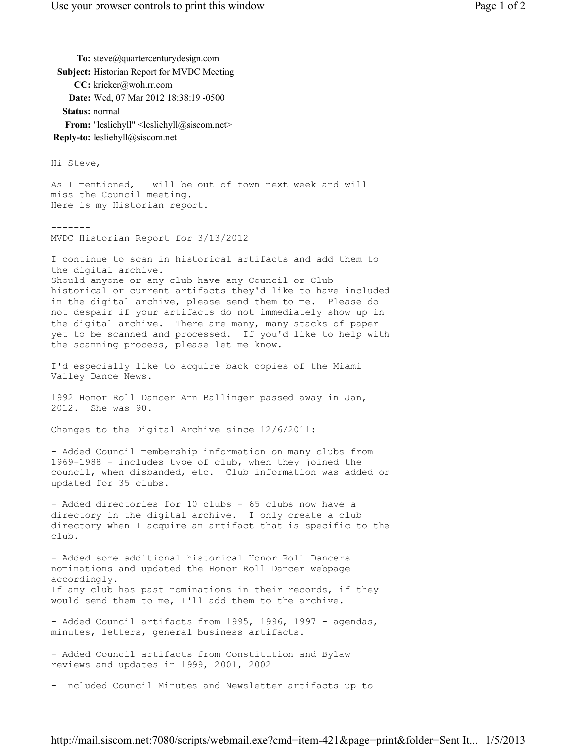Hi Steve, As I mentioned, I will be out of town next week and will miss the Council meeting. Here is my Historian report. ------- MVDC Historian Report for 3/13/2012 I continue to scan in historical artifacts and add them to the digital archive. Should anyone or any club have any Council or Club historical or current artifacts they'd like to have included in the digital archive, please send them to me. Please do not despair if your artifacts do not immediately show up in the digital archive. There are many, many stacks of paper yet to be scanned and processed. If you'd like to help with the scanning process, please let me know. I'd especially like to acquire back copies of the Miami Valley Dance News. 1992 Honor Roll Dancer Ann Ballinger passed away in Jan, 2012. She was 90. Changes to the Digital Archive since 12/6/2011: - Added Council membership information on many clubs from 1969-1988 - includes type of club, when they joined the council, when disbanded, etc. Club information was added or updated for 35 clubs. - Added directories for 10 clubs - 65 clubs now have a directory in the digital archive. I only create a club directory when I acquire an artifact that is specific to the club. - Added some additional historical Honor Roll Dancers nominations and updated the Honor Roll Dancer webpage accordingly. If any club has past nominations in their records, if they would send them to me, I'll add them to the archive. - Added Council artifacts from 1995, 1996, 1997 - agendas, minutes, letters, general business artifacts. - Added Council artifacts from Constitution and Bylaw reviews and updates in 1999, 2001, 2002 - Included Council Minutes and Newsletter artifacts up to To: steve@quartercenturydesign.com **Subject:** Historian Report for MVDC Meeting **CC:** krieker@woh.rr.com **Date:** Wed, 07 Mar 2012 18:38:19 -0500 **Status:** normal From: "lesliehyll" <lesliehyll@siscom.net> **Reply-to:** lesliehyll@siscom.net